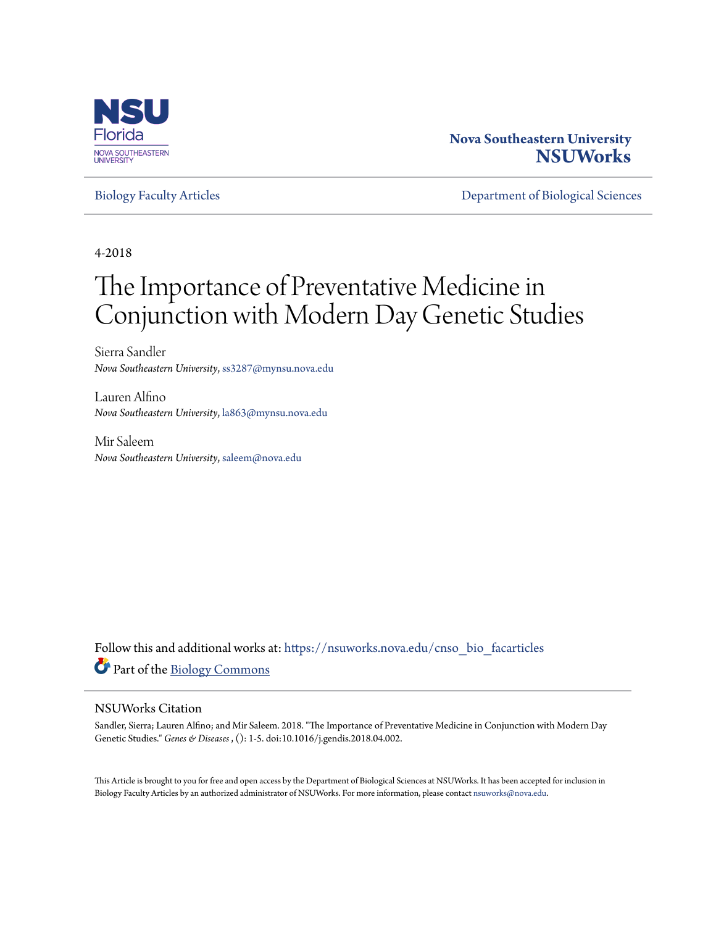

#### **Nova Southeastern University [NSUWorks](https://nsuworks.nova.edu?utm_source=nsuworks.nova.edu%2Fcnso_bio_facarticles%2F933&utm_medium=PDF&utm_campaign=PDFCoverPages)**

[Biology Faculty Articles](https://nsuworks.nova.edu/cnso_bio_facarticles?utm_source=nsuworks.nova.edu%2Fcnso_bio_facarticles%2F933&utm_medium=PDF&utm_campaign=PDFCoverPages) [Department of Biological Sciences](https://nsuworks.nova.edu/cnso_bio?utm_source=nsuworks.nova.edu%2Fcnso_bio_facarticles%2F933&utm_medium=PDF&utm_campaign=PDFCoverPages)

4-2018

## The Importance of Preventative Medicine in Conjunction with Modern Day Genetic Studies

Sierra Sandler *Nova Southeastern University*, ss3287@mynsu.nova.edu

Lauren Alfino *Nova Southeastern University*, la863@mynsu.nova.edu

Mir Saleem *Nova Southeastern University*, saleem@nova.edu

Follow this and additional works at: [https://nsuworks.nova.edu/cnso\\_bio\\_facarticles](https://nsuworks.nova.edu/cnso_bio_facarticles?utm_source=nsuworks.nova.edu%2Fcnso_bio_facarticles%2F933&utm_medium=PDF&utm_campaign=PDFCoverPages) Part of the [Biology Commons](http://network.bepress.com/hgg/discipline/41?utm_source=nsuworks.nova.edu%2Fcnso_bio_facarticles%2F933&utm_medium=PDF&utm_campaign=PDFCoverPages)

#### NSUWorks Citation

Sandler, Sierra; Lauren Alfino; and Mir Saleem. 2018. "The Importance of Preventative Medicine in Conjunction with Modern Day Genetic Studies." *Genes & Diseases* , (): 1-5. doi:10.1016/j.gendis.2018.04.002.

This Article is brought to you for free and open access by the Department of Biological Sciences at NSUWorks. It has been accepted for inclusion in Biology Faculty Articles by an authorized administrator of NSUWorks. For more information, please contact [nsuworks@nova.edu](mailto:nsuworks@nova.edu).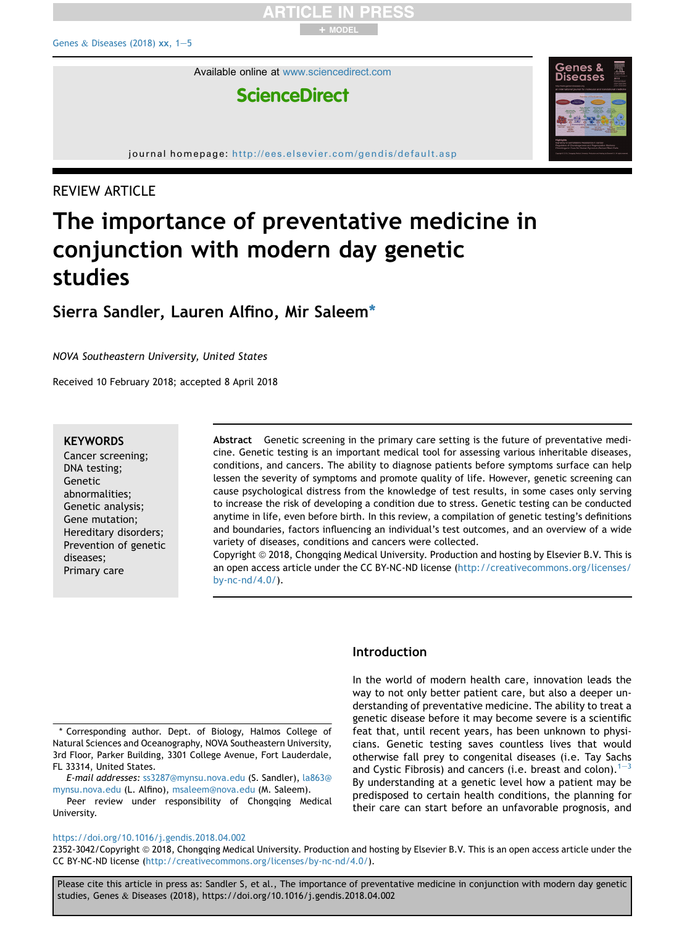Available online at [www.sciencedirect.com](www.sciencedirect.com/science/journal/23523042)

### **ScienceDirect**

journal homepage: <http://ees.elsevier.com/gendis/default.asp>

+ MODEL

#### REVIEW ARTICLE

## The importance of preventative medicine in conjunction with modern day genetic studies

#### Sierra Sandler, Lauren Alfino, Mir Saleem\*

NOVA Southeastern University, United States

Received 10 February 2018; accepted 8 April 2018

#### **KEYWORDS**

Cancer screening; DNA testing; Genetic abnormalities; Genetic analysis; Gene mutation; Hereditary disorders; Prevention of genetic diseases; Primary care

Abstract Genetic screening in the primary care setting is the future of preventative medicine. Genetic testing is an important medical tool for assessing various inheritable diseases, conditions, and cancers. The ability to diagnose patients before symptoms surface can help lessen the severity of symptoms and promote quality of life. However, genetic screening can cause psychological distress from the knowledge of test results, in some cases only serving to increase the risk of developing a condition due to stress. Genetic testing can be conducted anytime in life, even before birth. In this review, a compilation of genetic testing's definitions and boundaries, factors influencing an individual's test outcomes, and an overview of a wide variety of diseases, conditions and cancers were collected.

Copyright  $\odot$  2018, Chongqing Medical University. Production and hosting by Elsevier B.V. This is an open access article under the CC BY-NC-ND license ([http://creativecommons.org/licenses/](http://creativecommons.org/licenses/by-nc-nd/4.0/) [by-nc-nd/4.0/](http://creativecommons.org/licenses/by-nc-nd/4.0/)).

\* Corresponding author. Dept. of Biology, Halmos College of Natural Sciences and Oceanography, NOVA Southeastern University, 3rd Floor, Parker Building, 3301 College Avenue, Fort Lauderdale, FL 33314, United States.

E-mail addresses: [ss3287@mynsu.nova.edu](mailto:ss3287@mynsu.nova.edu) (S. Sandler), [la863@](mailto:la863@mynsu.nova.edu) [mynsu.nova.edu](mailto:la863@mynsu.nova.edu) (L. Alfino), [msaleem@nova.edu](mailto:msaleem@nova.edu) (M. Saleem).

Peer review under responsibility of Chongqing Medical University.

#### Introduction

In the world of modern health care, innovation leads the way to not only better patient care, but also a deeper understanding of preventative medicine. The ability to treat a genetic disease before it may become severe is a scientific feat that, until recent years, has been unknown to physicians. Genetic testing saves countless lives that would otherwise fall prey to congenital diseases (i.e. Tay Sachs and Cystic Fibrosis) and cancers (i.e. breast and colon).  $1-3$  $1-3$  $1-3$ By understanding at a genetic level how a patient may be predisposed to certain health conditions, the planning for their care can start before an unfavorable prognosis, and

#### <https://doi.org/10.1016/j.gendis.2018.04.002>

2352-3042/Copyright © 2018, Chongqing Medical University. Production and hosting by Elsevier B.V. This is an open access article under the CC BY-NC-ND license [\(http://creativecommons.org/licenses/by-nc-nd/4.0/\)](http://creativecommons.org/licenses/by-nc-nd/4.0/).

Please cite this article in press as: Sandler S, et al., The importance of preventative medicine in conjunction with modern day genetic studies, Genes & Diseases (2018), https://doi.org/10.1016/j.gendis.2018.04.002

# **Diseases**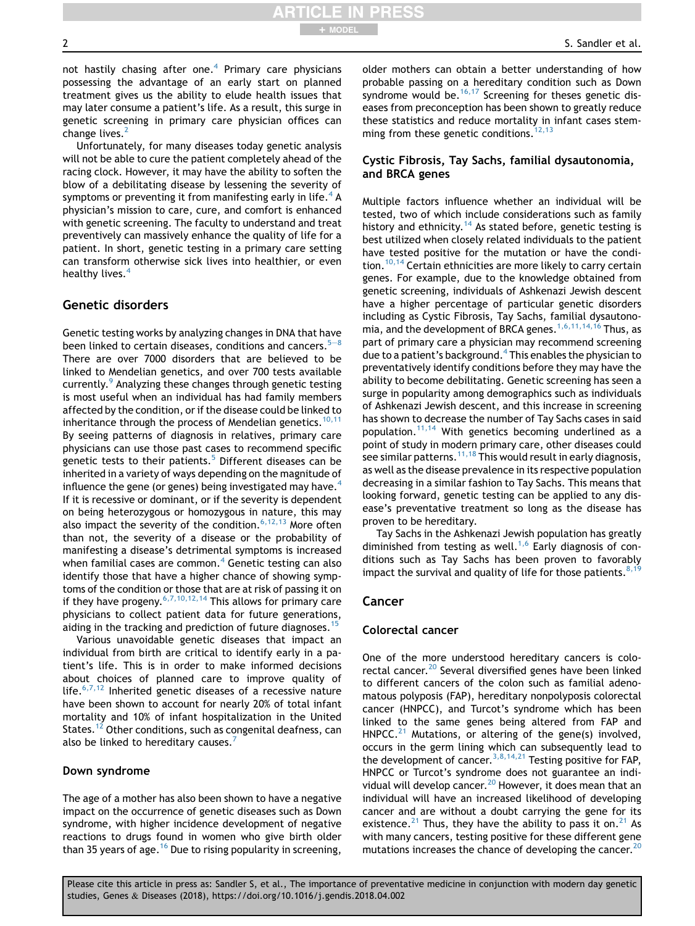not hastily chasing after one.<sup>[4](#page-5-0)</sup> Primary care physicians possessing the advantage of an early start on planned treatment gives us the ability to elude health issues that may later consume a patient's life. As a result, this surge in genetic screening in primary care physician offices can change lives.<sup>[2](#page-4-0)</sup>

+ MODEL

Unfortunately, for many diseases today genetic analysis will not be able to cure the patient completely ahead of the racing clock. However, it may have the ability to soften the blow of a debilitating disease by lessening the severity of symptoms or preventing it from manifesting early in life.<sup>[4](#page-5-0)</sup> A physician's mission to care, cure, and comfort is enhanced with genetic screening. The faculty to understand and treat preventively can massively enhance the quality of life for a patient. In short, genetic testing in a primary care setting can transform otherwise sick lives into healthier, or even healthy lives.<sup>[4](#page-5-0)</sup>

#### Genetic disorders

Genetic testing works by analyzing changes in DNA that have been linked to certain diseases, conditions and cancers.<sup>[5](#page-5-0)–</sup> There are over 7000 disorders that are believed to be linked to Mendelian genetics, and over 700 tests available currently.<sup>[9](#page-5-0)</sup> Analyzing these changes through genetic testing is most useful when an individual has had family members affected by the condition, or if the disease could be linked to inheritance through the process of Mendelian genetics.<sup>[10,11](#page-5-0)</sup> By seeing patterns of diagnosis in relatives, primary care physicians can use those past cases to recommend specific genetic tests to their patients. $5$  Different diseases can be inherited in a variety of ways depending on the magnitude of influence the gene (or genes) being investigated may have.<sup>4</sup> If it is recessive or dominant, or if the severity is dependent on being heterozygous or homozygous in nature, this may also impact the severity of the condition.  $6,12,13$  More often than not, the severity of a disease or the probability of manifesting a disease's detrimental symptoms is increased when familial cases are common. $4$  Genetic testing can also identify those that have a higher chance of showing symptoms of the condition or those that are at risk of passing it on if they have progeny.  $6,7,10,12,14$  This allows for primary care physicians to collect patient data for future generations, aiding in the tracking and prediction of future diagnoses.<sup>[15](#page-5-0)</sup>

Various unavoidable genetic diseases that impact an individual from birth are critical to identify early in a patient's life. This is in order to make informed decisions about choices of planned care to improve quality of life. $6,7,12$  Inherited genetic diseases of a recessive nature have been shown to account for nearly 20% of total infant mortality and 10% of infant hospitalization in the United States.<sup>[12](#page-5-0)</sup> Other conditions, such as congenital deafness, can also be linked to hereditary causes.<sup>[7](#page-5-0)</sup>

#### Down syndrome

The age of a mother has also been shown to have a negative impact on the occurrence of genetic diseases such as Down syndrome, with higher incidence development of negative reactions to drugs found in women who give birth older than 35 years of age.<sup>[16](#page-5-0)</sup> Due to rising popularity in screening,

older mothers can obtain a better understanding of how probable passing on a hereditary condition such as Down syndrome would be.  $16,17$  Screening for theses genetic diseases from preconception has been shown to greatly reduce these statistics and reduce mortality in infant cases stemming from these genetic conditions.  $12,13$ 

#### Cystic Fibrosis, Tay Sachs, familial dysautonomia, and BRCA genes

Multiple factors influence whether an individual will be tested, two of which include considerations such as family history and ethnicity.<sup>[14](#page-5-0)</sup> As stated before, genetic testing is best utilized when closely related individuals to the patient have tested positive for the mutation or have the condi-tion.<sup>[10,14](#page-5-0)</sup> Certain ethnicities are more likely to carry certain genes. For example, due to the knowledge obtained from genetic screening, individuals of Ashkenazi Jewish descent have a higher percentage of particular genetic disorders including as Cystic Fibrosis, Tay Sachs, familial dysautono-mia, and the development of BRCA genes.<sup>[1,6,11,14,16](#page-4-0)</sup> Thus, as part of primary care a physician may recommend screening due to a patient's background.<sup>4</sup> This enables the physician to preventatively identify conditions before they may have the ability to become debilitating. Genetic screening has seen a surge in popularity among demographics such as individuals of Ashkenazi Jewish descent, and this increase in screening has shown to decrease the number of Tay Sachs cases in said population.<sup>[11,14](#page-5-0)</sup> With genetics becoming underlined as a point of study in modern primary care, other diseases could see similar patterns.<sup>[11,18](#page-5-0)</sup> This would result in early diagnosis, as well as the disease prevalence in its respective population decreasing in a similar fashion to Tay Sachs. This means that looking forward, genetic testing can be applied to any disease's preventative treatment so long as the disease has proven to be hereditary.

Tay Sachs in the Ashkenazi Jewish population has greatly diminished from testing as well.<sup>[1,6](#page-4-0)</sup> Early diagnosis of conditions such as Tay Sachs has been proven to favorably impact the survival and quality of life for those patients.<sup>8,1</sup>

#### Cancer

#### Colorectal cancer

One of the more understood hereditary cancers is colorectal cancer.<sup>20</sup> Several diversified genes have been linked to different cancers of the colon such as familial adenomatous polyposis (FAP), hereditary nonpolyposis colorectal cancer (HNPCC), and Turcot's syndrome which has been linked to the same genes being altered from FAP and HNPCC. $^{21}$  $^{21}$  $^{21}$  Mutations, or altering of the gene(s) involved, occurs in the germ lining which can subsequently lead to the development of cancer.<sup>3,8,14,21</sup> Testing positive for FAP, HNPCC or Turcot's syndrome does not guarantee an indi-vidual will develop cancer.<sup>[20](#page-5-0)</sup> However, it does mean that an individual will have an increased likelihood of developing cancer and are without a doubt carrying the gene for its existence.<sup>[21](#page-5-0)</sup> Thus, they have the ability to pass it on.<sup>21</sup> As with many cancers, testing positive for these different gene mutations increases the chance of developing the cancer.<sup>[20](#page-5-0)</sup>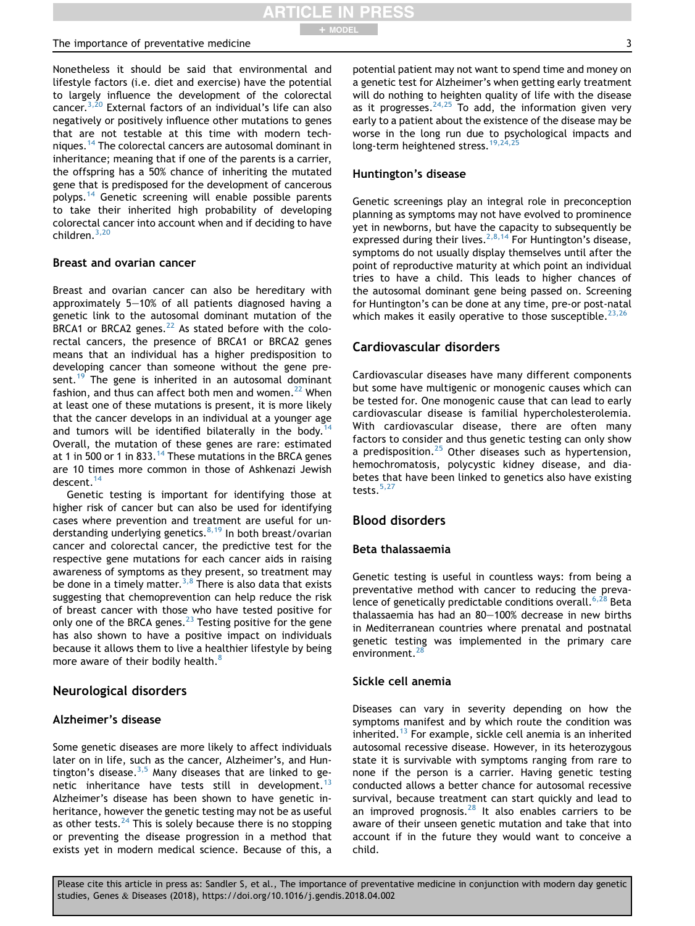Nonetheless it should be said that environmental and lifestyle factors (i.e. diet and exercise) have the potential to largely influence the development of the colorectal cancer.<sup>3,20</sup> External factors of an individual's life can also negatively or positively influence other mutations to genes that are not testable at this time with modern tech-niques.<sup>[14](#page-5-0)</sup> The colorectal cancers are autosomal dominant in inheritance; meaning that if one of the parents is a carrier, the offspring has a 50% chance of inheriting the mutated gene that is predisposed for the development of cancerous polyps.[14](#page-5-0) Genetic screening will enable possible parents to take their inherited high probability of developing colorectal cancer into account when and if deciding to have children.[3,20](#page-5-0)

#### Breast and ovarian cancer

Breast and ovarian cancer can also be hereditary with approximately  $5-10%$  of all patients diagnosed having a genetic link to the autosomal dominant mutation of the  $BRCA1$  or BRCA2 genes.<sup>[22](#page-5-0)</sup> As stated before with the colorectal cancers, the presence of BRCA1 or BRCA2 genes means that an individual has a higher predisposition to developing cancer than someone without the gene pre-sent.<sup>[19](#page-5-0)</sup> The gene is inherited in an autosomal dominant fashion, and thus can affect both men and women. $^{22}$  $^{22}$  $^{22}$  When at least one of these mutations is present, it is more likely that the cancer develops in an individual at a younger age and tumors will be identified bilaterally in the body.<sup>1</sup> Overall, the mutation of these genes are rare: estimated at 1 in 500 or 1 in 833.<sup>[14](#page-5-0)</sup> These mutations in the BRCA genes are 10 times more common in those of Ashkenazi Jewish descent[.14](#page-5-0)

Genetic testing is important for identifying those at higher risk of cancer but can also be used for identifying cases where prevention and treatment are useful for understanding underlying genetics. $8,19$  In both breast/ovarian cancer and colorectal cancer, the predictive test for the respective gene mutations for each cancer aids in raising awareness of symptoms as they present, so treatment may be done in a timely matter.<sup>3,8</sup> There is also data that exists suggesting that chemoprevention can help reduce the risk of breast cancer with those who have tested positive for only one of the BRCA genes.<sup>[23](#page-5-0)</sup> Testing positive for the gene has also shown to have a positive impact on individuals because it allows them to live a healthier lifestyle by being more aware of their bodily health.<sup>[8](#page-5-0)</sup>

#### Neurological disorders

#### Alzheimer's disease

Some genetic diseases are more likely to affect individuals later on in life, such as the cancer, Alzheimer's, and Huntington's disease. $3,5$  Many diseases that are linked to ge-netic inheritance have tests still in development.<sup>[13](#page-5-0)</sup> Alzheimer's disease has been shown to have genetic inheritance, however the genetic testing may not be as useful as other tests. $^{24}$  $^{24}$  $^{24}$  This is solely because there is no stopping or preventing the disease progression in a method that exists yet in modern medical science. Because of this, a potential patient may not want to spend time and money on a genetic test for Alzheimer's when getting early treatment will do nothing to heighten quality of life with the disease as it progresses.  $24,25$  To add, the information given very early to a patient about the existence of the disease may be worse in the long run due to psychological impacts and long-term heightened stress.<sup>19,24</sup>

#### Huntington's disease

Genetic screenings play an integral role in preconception planning as symptoms may not have evolved to prominence yet in newborns, but have the capacity to subsequently be expressed during their lives.  $^{2,8,14}$  $^{2,8,14}$  $^{2,8,14}$  For Huntington's disease, symptoms do not usually display themselves until after the point of reproductive maturity at which point an individual tries to have a child. This leads to higher chances of the autosomal dominant gene being passed on. Screening for Huntington's can be done at any time, pre-or post-natal which makes it easily operative to those susceptible.<sup>[23,26](#page-5-0)</sup>

#### Cardiovascular disorders

Cardiovascular diseases have many different components but some have multigenic or monogenic causes which can be tested for. One monogenic cause that can lead to early cardiovascular disease is familial hypercholesterolemia. With cardiovascular disease, there are often many factors to consider and thus genetic testing can only show a predisposition. $25$  Other diseases such as hypertension, hemochromatosis, polycystic kidney disease, and diabetes that have been linked to genetics also have existing tests.<sup>[5,27](#page-5-0)</sup>

#### Blood disorders

#### Beta thalassaemia

Genetic testing is useful in countless ways: from being a preventative method with cancer to reducing the preva-lence of genetically predictable conditions overall.<sup>[6,28](#page-5-0)</sup> Beta thalassaemia has had an  $80-100%$  decrease in new births in Mediterranean countries where prenatal and postnatal genetic testing was implemented in the primary care environment.<sup>[28](#page-5-0)</sup>

#### Sickle cell anemia

Diseases can vary in severity depending on how the symptoms manifest and by which route the condition was inherited.<sup>[13](#page-5-0)</sup> For example, sickle cell anemia is an inherited autosomal recessive disease. However, in its heterozygous state it is survivable with symptoms ranging from rare to none if the person is a carrier. Having genetic testing conducted allows a better chance for autosomal recessive survival, because treatment can start quickly and lead to an improved prognosis. $^{28}$  $^{28}$  $^{28}$  It also enables carriers to be aware of their unseen genetic mutation and take that into account if in the future they would want to conceive a child.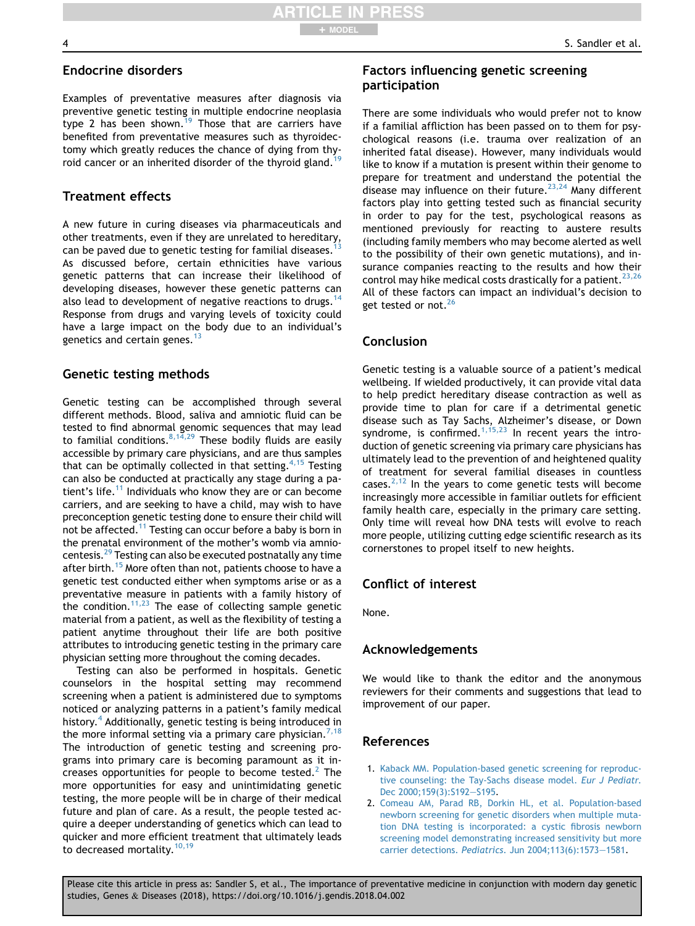#### <span id="page-4-0"></span>Endocrine disorders

Examples of preventative measures after diagnosis via preventive genetic testing in multiple endocrine neoplasia type 2 has been shown.<sup>[19](#page-5-0)</sup> Those that are carriers have benefited from preventative measures such as thyroidectomy which greatly reduces the chance of dying from thy-roid cancer or an inherited disorder of the thyroid gland.<sup>[19](#page-5-0)</sup>

#### Treatment effects

A new future in curing diseases via pharmaceuticals and other treatments, even if they are unrelated to hereditary, can be paved due to genetic testing for familial diseases.<sup>1</sup> As discussed before, certain ethnicities have various genetic patterns that can increase their likelihood of developing diseases, however these genetic patterns can also lead to development of negative reactions to drugs.<sup>[14](#page-5-0)</sup> Response from drugs and varying levels of toxicity could have a large impact on the body due to an individual's genetics and certain genes.<sup>[13](#page-5-0)</sup>

#### Genetic testing methods

Genetic testing can be accomplished through several different methods. Blood, saliva and amniotic fluid can be tested to find abnormal genomic sequences that may lead to familial conditions.  $8,14,29$  These bodily fluids are easily accessible by primary care physicians, and are thus samples that can be optimally collected in that setting.  $4,15$  Testing can also be conducted at practically any stage during a pa-tient's life.<sup>[11](#page-5-0)</sup> Individuals who know they are or can become carriers, and are seeking to have a child, may wish to have preconception genetic testing done to ensure their child will not be affected.<sup>[11](#page-5-0)</sup> Testing can occur before a baby is born in the prenatal environment of the mother's womb via amniocentesis.<sup>29</sup> Testing can also be executed postnatally any time after birth.<sup>15</sup> More often than not, patients choose to have a genetic test conducted either when symptoms arise or as a preventative measure in patients with a family history of the condition.<sup>11,23</sup> The ease of collecting sample genetic material from a patient, as well as the flexibility of testing a patient anytime throughout their life are both positive attributes to introducing genetic testing in the primary care physician setting more throughout the coming decades.

Testing can also be performed in hospitals. Genetic counselors in the hospital setting may recommend screening when a patient is administered due to symptoms noticed or analyzing patterns in a patient's family medical history.<sup>4</sup> Additionally, genetic testing is being introduced in the more informal setting via a primary care physician.<sup>[7,18](#page-5-0)</sup> The introduction of genetic testing and screening programs into primary care is becoming paramount as it increases opportunities for people to become tested. $2$  The more opportunities for easy and unintimidating genetic testing, the more people will be in charge of their medical future and plan of care. As a result, the people tested acquire a deeper understanding of genetics which can lead to quicker and more efficient treatment that ultimately leads to decreased mortality.<sup>[10,19](#page-5-0)</sup>

#### Factors influencing genetic screening participation

There are some individuals who would prefer not to know if a familial affliction has been passed on to them for psychological reasons (i.e. trauma over realization of an inherited fatal disease). However, many individuals would like to know if a mutation is present within their genome to prepare for treatment and understand the potential the disease may influence on their future.<sup>[23,24](#page-5-0)</sup> Many different factors play into getting tested such as financial security in order to pay for the test, psychological reasons as mentioned previously for reacting to austere results (including family members who may become alerted as well to the possibility of their own genetic mutations), and insurance companies reacting to the results and how their control may hike medical costs drastically for a patient.<sup>[23,26](#page-5-0)</sup> All of these factors can impact an individual's decision to get tested or not.<sup>[26](#page-5-0)</sup>

#### Conclusion

Genetic testing is a valuable source of a patient's medical wellbeing. If wielded productively, it can provide vital data to help predict hereditary disease contraction as well as provide time to plan for care if a detrimental genetic disease such as Tay Sachs, Alzheimer's disease, or Down syndrome, is confirmed. $1,15,23$  In recent years the introduction of genetic screening via primary care physicians has ultimately lead to the prevention of and heightened quality of treatment for several familial diseases in countless cases. $2,12$  In the years to come genetic tests will become increasingly more accessible in familiar outlets for efficient family health care, especially in the primary care setting. Only time will reveal how DNA tests will evolve to reach more people, utilizing cutting edge scientific research as its cornerstones to propel itself to new heights.

#### Conflict of interest

None.

#### Acknowledgements

We would like to thank the editor and the anonymous reviewers for their comments and suggestions that lead to improvement of our paper.

#### References

- 1. [Kaback MM. Population-based genetic screening for reproduc](http://refhub.elsevier.com/S2352-3042(18)30024-2/sref1)[tive counseling: the Tay-Sachs disease model.](http://refhub.elsevier.com/S2352-3042(18)30024-2/sref1) Eur J Pediatr. [Dec 2000;159\(3\):S192](http://refhub.elsevier.com/S2352-3042(18)30024-2/sref1)-[S195.](http://refhub.elsevier.com/S2352-3042(18)30024-2/sref1)
- 2. [Comeau AM, Parad RB, Dorkin HL, et al. Population-based](http://refhub.elsevier.com/S2352-3042(18)30024-2/sref2) [newborn screening for genetic disorders when multiple muta](http://refhub.elsevier.com/S2352-3042(18)30024-2/sref2)[tion DNA testing is incorporated: a cystic fibrosis newborn](http://refhub.elsevier.com/S2352-3042(18)30024-2/sref2) [screening model demonstrating increased sensitivity but more](http://refhub.elsevier.com/S2352-3042(18)30024-2/sref2) carrier detections. Pediatrics[. Jun 2004;113\(6\):1573](http://refhub.elsevier.com/S2352-3042(18)30024-2/sref2)-[1581](http://refhub.elsevier.com/S2352-3042(18)30024-2/sref2).